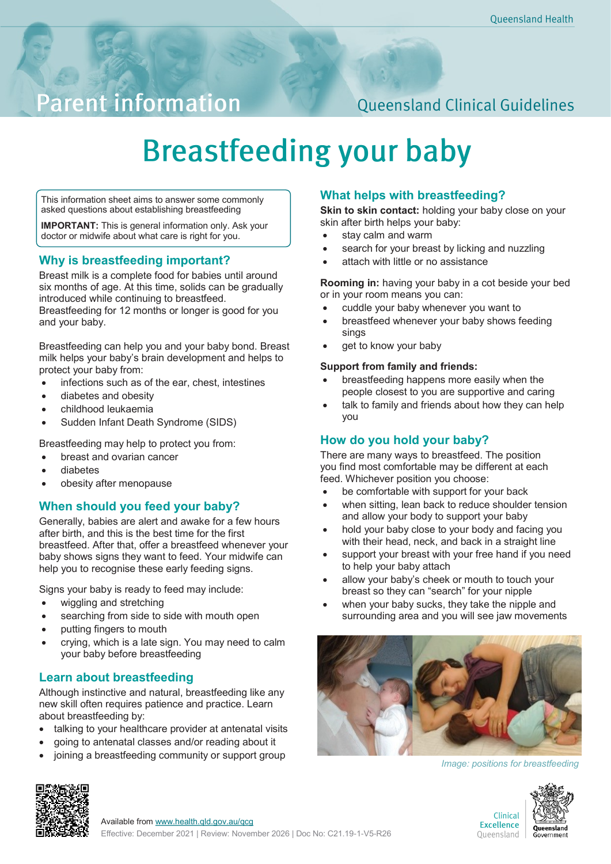## **Parent information**

### **Queensland Clinical Guidelines**

# **Breastfeeding your baby**

This information sheet aims to answer some commonly asked questions about establishing breastfeeding

**IMPORTANT:** This is general information only. Ask your doctor or midwife about what care is right for you.

#### **Why is breastfeeding important?**

Breast milk is a complete food for babies until around six months of age. At this time, solids can be gradually introduced while continuing to breastfeed.

Breastfeeding for 12 months or longer is good for you and your baby.

Breastfeeding can help you and your baby bond. Breast milk helps your baby's brain development and helps to protect your baby from:

- infections such as of the ear, chest, intestines
- diabetes and obesity
- childhood leukaemia
- Sudden Infant Death Syndrome (SIDS)

Breastfeeding may help to protect you from:

- breast and ovarian cancer
- diabetes
- obesity after menopause

#### **When should you feed your baby?**

Generally, babies are alert and awake for a few hours after birth, and this is the best time for the first breastfeed. After that, offer a breastfeed whenever your baby shows signs they want to feed. Your midwife can help you to recognise these early feeding signs.

Signs your baby is ready to feed may include:

- wiggling and stretching
- searching from side to side with mouth open
- putting fingers to mouth
- crying, which is a late sign. You may need to calm your baby before breastfeeding

#### **Learn about breastfeeding**

Although instinctive and natural, breastfeeding like any new skill often requires patience and practice. Learn about breastfeeding by:

- talking to your healthcare provider at antenatal visits
- going to antenatal classes and/or reading about it
- joining a breastfeeding community or support group

#### **What helps with breastfeeding?**

**Skin to skin contact:** holding your baby close on your skin after birth helps your baby:

- stay calm and warm
- search for your breast by licking and nuzzling
- attach with little or no assistance

**Rooming in:** having your baby in a cot beside your bed or in your room means you can:

- cuddle your baby whenever you want to
- breastfeed whenever your baby shows feeding sings
- get to know your baby

#### **Support from family and friends:**

- breastfeeding happens more easily when the people closest to you are supportive and caring
- talk to family and friends about how they can help you

#### **How do you hold your baby?**

There are many ways to breastfeed. The position you find most comfortable may be different at each feed. Whichever position you choose:

- be comfortable with support for your back
- when sitting, lean back to reduce shoulder tension and allow your body to support your baby
- hold your baby close to your body and facing you with their head, neck, and back in a straight line
- support your breast with your free hand if you need to help your baby attach
- allow your baby's cheek or mouth to touch your breast so they can "search" for your nipple
- when your baby sucks, they take the nipple and surrounding area and you will see jaw movements



*Image: positions for breastfeeding*